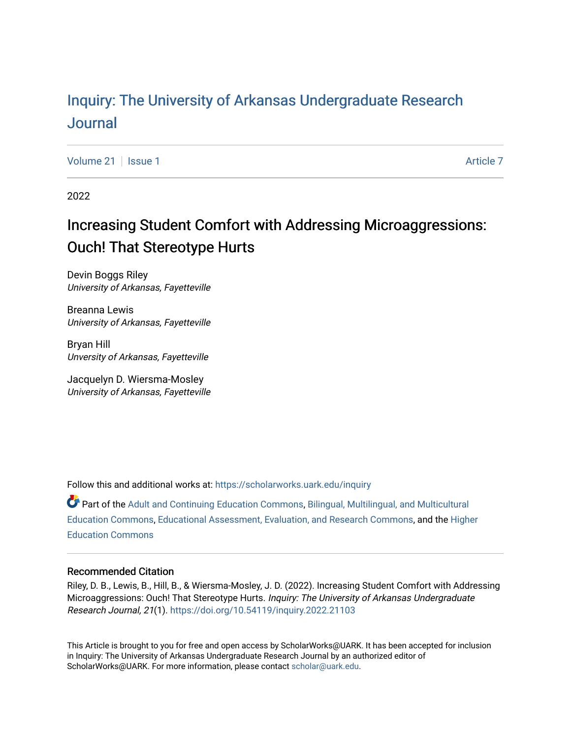# Inquiry: The Univ[ersity of Arkansas Undergraduate Resear](https://scholarworks.uark.edu/inquiry)ch [Journal](https://scholarworks.uark.edu/inquiry)

[Volume 21](https://scholarworks.uark.edu/inquiry/vol21) | [Issue 1](https://scholarworks.uark.edu/inquiry/vol21/iss1) [Article 7](https://scholarworks.uark.edu/inquiry/vol21/iss1/7) Article 7 Article 7 Article 7 Article 7 Article 7 Article 7 Article 7 Article 7

2022

# Increasing Student Comfort with Addressing Microaggressions: Ouch! That Stereotype Hurts

Devin Boggs Riley University of Arkansas, Fayetteville

Breanna Lewis University of Arkansas, Fayetteville

Bryan Hill Unversity of Arkansas, Fayetteville

Jacquelyn D. Wiersma-Mosley University of Arkansas, Fayetteville

Follow this and additional works at: [https://scholarworks.uark.edu/inquiry](https://scholarworks.uark.edu/inquiry?utm_source=scholarworks.uark.edu%2Finquiry%2Fvol21%2Fiss1%2F7&utm_medium=PDF&utm_campaign=PDFCoverPages)

Part of the [Adult and Continuing Education Commons,](http://network.bepress.com/hgg/discipline/1375?utm_source=scholarworks.uark.edu%2Finquiry%2Fvol21%2Fiss1%2F7&utm_medium=PDF&utm_campaign=PDFCoverPages) [Bilingual, Multilingual, and Multicultural](http://network.bepress.com/hgg/discipline/785?utm_source=scholarworks.uark.edu%2Finquiry%2Fvol21%2Fiss1%2F7&utm_medium=PDF&utm_campaign=PDFCoverPages) [Education Commons,](http://network.bepress.com/hgg/discipline/785?utm_source=scholarworks.uark.edu%2Finquiry%2Fvol21%2Fiss1%2F7&utm_medium=PDF&utm_campaign=PDFCoverPages) [Educational Assessment, Evaluation, and Research Commons](http://network.bepress.com/hgg/discipline/796?utm_source=scholarworks.uark.edu%2Finquiry%2Fvol21%2Fiss1%2F7&utm_medium=PDF&utm_campaign=PDFCoverPages), and the [Higher](http://network.bepress.com/hgg/discipline/1245?utm_source=scholarworks.uark.edu%2Finquiry%2Fvol21%2Fiss1%2F7&utm_medium=PDF&utm_campaign=PDFCoverPages)  [Education Commons](http://network.bepress.com/hgg/discipline/1245?utm_source=scholarworks.uark.edu%2Finquiry%2Fvol21%2Fiss1%2F7&utm_medium=PDF&utm_campaign=PDFCoverPages) 

#### Recommended Citation

Riley, D. B., Lewis, B., Hill, B., & Wiersma-Mosley, J. D. (2022). Increasing Student Comfort with Addressing Microaggressions: Ouch! That Stereotype Hurts. Inquiry: The University of Arkansas Undergraduate Research Journal, 21(1). <https://doi.org/10.54119/inquiry.2022.21103>

This Article is brought to you for free and open access by ScholarWorks@UARK. It has been accepted for inclusion in Inquiry: The University of Arkansas Undergraduate Research Journal by an authorized editor of ScholarWorks@UARK. For more information, please contact [scholar@uark.edu](mailto:scholar@uark.edu).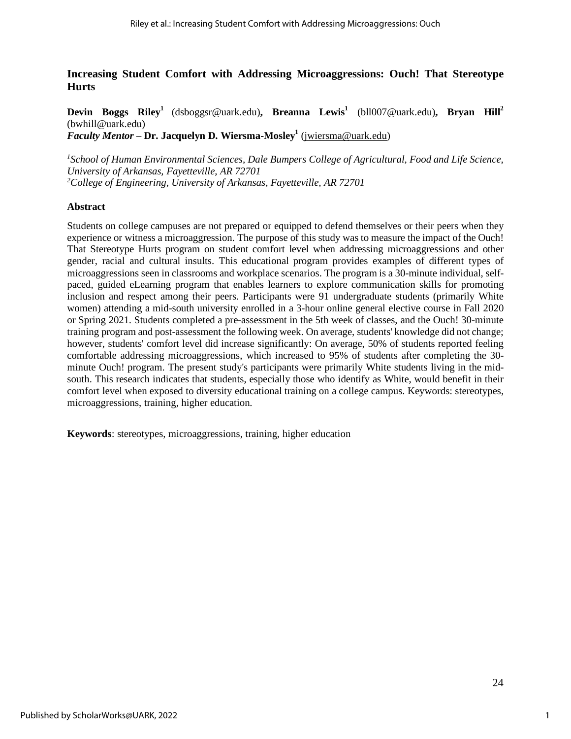## **Increasing Student Comfort with Addressing Microaggressions: Ouch! That Stereotype Hurts**

**Devin Boggs Riley<sup>1</sup>** (dsboggsr@uark.edu)**, Breanna Lewis<sup>1</sup>** (bll007@uark.edu)**, Bryan Hill<sup>2</sup>** (bwhill@uark.edu) *Faculty Mentor –* **Dr. Jacquelyn D. Wiersma-Mosley<sup>1</sup>** [\(jwiersma@uark.edu\)](mailto:jwiersma@uark.edu)

*<sup>1</sup>School of Human Environmental Sciences, Dale Bumpers College of Agricultural, Food and Life Science, University of Arkansas, Fayetteville, AR 72701 <sup>2</sup>College of Engineering, University of Arkansas, Fayetteville, AR 72701*

#### **Abstract**

Students on college campuses are not prepared or equipped to defend themselves or their peers when they experience or witness a microaggression. The purpose of this study was to measure the impact of the Ouch! That Stereotype Hurts program on student comfort level when addressing microaggressions and other gender, racial and cultural insults. This educational program provides examples of different types of microaggressions seen in classrooms and workplace scenarios. The program is a 30-minute individual, selfpaced, guided eLearning program that enables learners to explore communication skills for promoting inclusion and respect among their peers. Participants were 91 undergraduate students (primarily White women) attending a mid-south university enrolled in a 3-hour online general elective course in Fall 2020 or Spring 2021. Students completed a pre-assessment in the 5th week of classes, and the Ouch! 30-minute training program and post-assessment the following week. On average, students' knowledge did not change; however, students' comfort level did increase significantly: On average, 50% of students reported feeling comfortable addressing microaggressions, which increased to 95% of students after completing the 30 minute Ouch! program. The present study's participants were primarily White students living in the midsouth. This research indicates that students, especially those who identify as White, would benefit in their comfort level when exposed to diversity educational training on a college campus. Keywords: stereotypes, microaggressions, training, higher education.

**Keywords**: stereotypes, microaggressions, training, higher education

1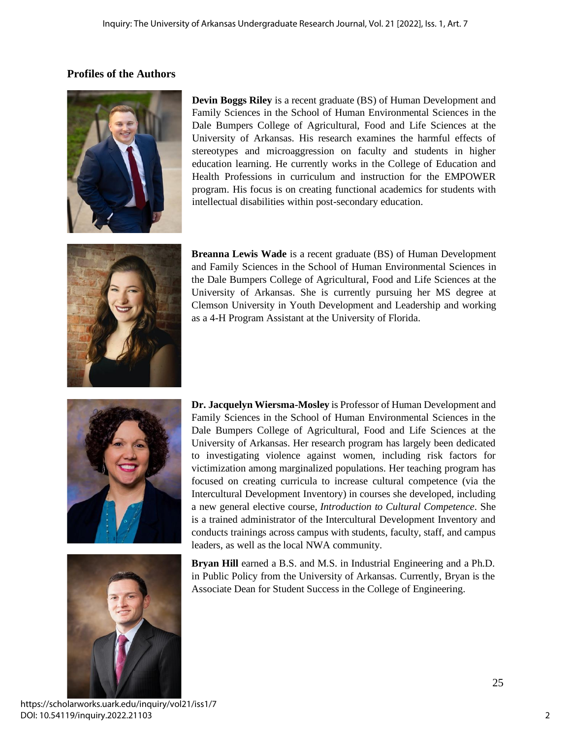# **Profiles of the Authors**



**Devin Boggs Riley** is a recent graduate (BS) of Human Development and Family Sciences in the School of Human Environmental Sciences in the Dale Bumpers College of Agricultural, Food and Life Sciences at the University of Arkansas. His research examines the harmful effects of stereotypes and microaggression on faculty and students in higher education learning. He currently works in the College of Education and Health Professions in curriculum and instruction for the EMPOWER program. His focus is on creating functional academics for students with intellectual disabilities within post-secondary education.



**Breanna Lewis Wade** is a recent graduate (BS) of Human Development and Family Sciences in the School of Human Environmental Sciences in the Dale Bumpers College of Agricultural, Food and Life Sciences at the University of Arkansas. She is currently pursuing her MS degree at Clemson University in Youth Development and Leadership and working as a 4-H Program Assistant at the University of Florida.





**Dr. Jacquelyn Wiersma-Mosley** is Professor of Human Development and Family Sciences in the School of Human Environmental Sciences in the Dale Bumpers College of Agricultural, Food and Life Sciences at the University of Arkansas. Her research program has largely been dedicated to investigating violence against women, including risk factors for victimization among marginalized populations. Her teaching program has focused on creating curricula to increase cultural competence (via the Intercultural Development Inventory) in courses she developed, including a new general elective course, *Introduction to Cultural Competence*. She is a trained administrator of the Intercultural Development Inventory and conducts trainings across campus with students, faculty, staff, and campus leaders, as well as the local NWA community.

**Bryan Hill** earned a B.S. and M.S. in Industrial Engineering and a Ph.D. in Public Policy from the University of Arkansas. Currently, Bryan is the Associate Dean for Student Success in the College of Engineering.

2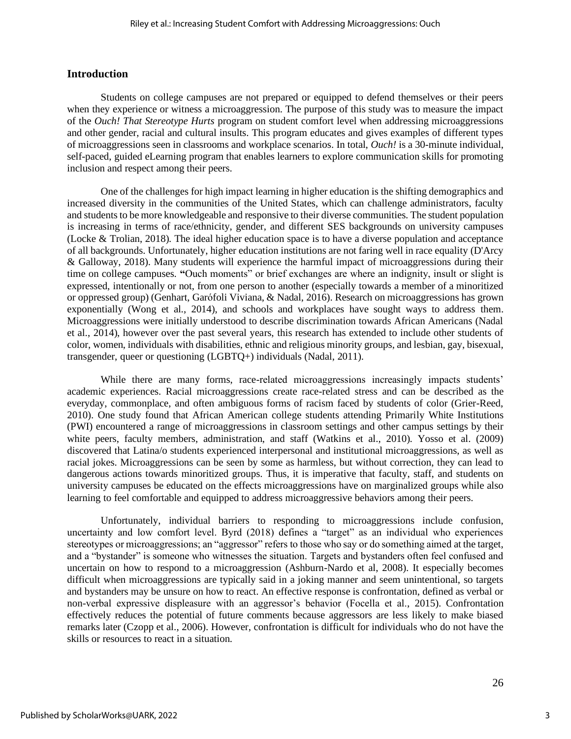#### **Introduction**

Students on college campuses are not prepared or equipped to defend themselves or their peers when they experience or witness a microaggression. The purpose of this study was to measure the impact of the *Ouch! That Stereotype Hurts* program on student comfort level when addressing microaggressions and other gender, racial and cultural insults. This program educates and gives examples of different types of microaggressions seen in classrooms and workplace scenarios. In total, *Ouch!* is a 30-minute individual, self-paced, guided eLearning program that enables learners to explore communication skills for promoting inclusion and respect among their peers.

One of the challenges for high impact learning in higher education is the shifting demographics and increased diversity in the communities of the United States, which can challenge administrators, faculty and students to be more knowledgeable and responsive to their diverse communities. The student population is increasing in terms of race/ethnicity, gender, and different SES backgrounds on university campuses (Locke & Trolian, 2018). The ideal higher education space is to have a diverse population and acceptance of all backgrounds. Unfortunately, higher education institutions are not faring well in race equality (D'Arcy & Galloway, 2018). Many students will experience the harmful impact of microaggressions during their time on college campuses. **"**Ouch moments" or brief exchanges are where an indignity, insult or slight is expressed, intentionally or not, from one person to another (especially towards a member of a minoritized or oppressed group) (Genhart, Garófoli Viviana, & Nadal, 2016). Research on microaggressions has grown exponentially (Wong et al., 2014), and schools and workplaces have sought ways to address them. Microaggressions were initially understood to describe discrimination towards African Americans (Nadal et al., 2014), however over the past several years, this research has extended to include other students of color, women, individuals with disabilities, ethnic and religious minority groups, and lesbian, gay, bisexual, transgender, queer or questioning (LGBTQ+) individuals (Nadal, 2011).

While there are many forms, race-related microaggressions increasingly impacts students' academic experiences. Racial microaggressions create race-related stress and can be described as the everyday, commonplace, and often ambiguous forms of racism faced by students of color (Grier-Reed, 2010). One study found that African American college students attending Primarily White Institutions (PWI) encountered a range of microaggressions in classroom settings and other campus settings by their white peers, faculty members, administration, and staff (Watkins et al., 2010). Yosso et al. (2009) discovered that Latina/o students experienced interpersonal and institutional microaggressions, as well as racial jokes. Microaggressions can be seen by some as harmless, but without correction, they can lead to dangerous actions towards minoritized groups. Thus, it is imperative that faculty, staff, and students on university campuses be educated on the effects microaggressions have on marginalized groups while also learning to feel comfortable and equipped to address microaggressive behaviors among their peers.

Unfortunately, individual barriers to responding to microaggressions include confusion, uncertainty and low comfort level. Byrd (2018) defines a "target" as an individual who experiences stereotypes or microaggressions; an "aggressor" refers to those who say or do something aimed at the target, and a "bystander" is someone who witnesses the situation. Targets and bystanders often feel confused and uncertain on how to respond to a microaggression (Ashburn-Nardo et al, 2008). It especially becomes difficult when microaggressions are typically said in a joking manner and seem unintentional, so targets and bystanders may be unsure on how to react. An effective response is confrontation, defined as verbal or non-verbal expressive displeasure with an aggressor's behavior (Focella et al., 2015). Confrontation effectively reduces the potential of future comments because aggressors are less likely to make biased remarks later (Czopp et al., 2006). However, confrontation is difficult for individuals who do not have the skills or resources to react in a situation.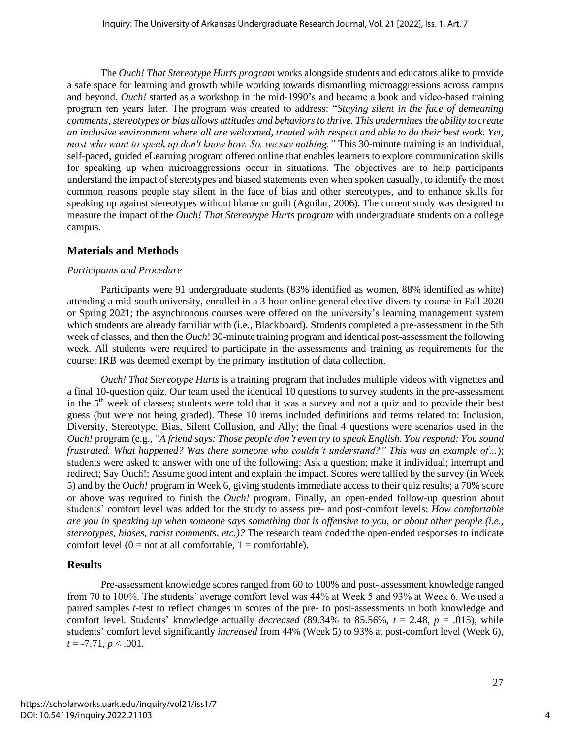The *Ouch! That Stereotype Hurts program* works alongside students and educators alike to provide a safe space for learning and growth while working towards dismantling microaggressions across campus and beyond. *Ouch!* started as a workshop in the mid-1990's and became a book and video-based training program ten years later. The program was created to address: "*Staying silent in the face of demeaning comments, stereotypes or bias allows attitudes and behaviors to thrive. This undermines the ability to create an inclusive environment where all are welcomed, treated with respect and able to do their best work. Yet, most who want to speak up don't know how. So, we say nothing."* This 30-minute training is an individual, self-paced, guided eLearning program offered online that enables learners to explore communication skills for speaking up when microaggressions occur in situations. The objectives are to help participants understand the impact of stereotypes and biased statements even when spoken casually, to identify the most common reasons people stay silent in the face of bias and other stereotypes, and to enhance skills for speaking up against stereotypes without blame or guilt (Aguilar, 2006). The current study was designed to measure the impact of the *Ouch! That Stereotype Hurts* p*rogram* with undergraduate students on a college campus.

## **Materials and Methods**

#### *Participants and Procedure*

Participants were 91 undergraduate students (83% identified as women, 88% identified as white) attending a mid-south university, enrolled in a 3-hour online general elective diversity course in Fall 2020 or Spring 2021; the asynchronous courses were offered on the university's learning management system which students are already familiar with (i.e., Blackboard). Students completed a pre-assessment in the 5th week of classes, and then the *Ouch*! 30-minute training program and identical post-assessment the following week. All students were required to participate in the assessments and training as requirements for the course; IRB was deemed exempt by the primary institution of data collection.

*Ouch! That Stereotype Hurts* is a training program that includes multiple videos with vignettes and a final 10-question quiz. Our team used the identical 10 questions to survey students in the pre-assessment in the  $5<sup>th</sup>$  week of classes; students were told that it was a survey and not a quiz and to provide their best guess (but were not being graded). These 10 items included definitions and terms related to: Inclusion, Diversity, Stereotype, Bias, Silent Collusion, and Ally; the final 4 questions were scenarios used in the *Ouch!* program (e.g., "*A friend says: Those people don't even try to speak English. You respond: You sound frustrated. What happened? Was there someone who couldn't understand?" This was an example of…*); students were asked to answer with one of the following: Ask a question; make it individual; interrupt and redirect; Say Ouch!; Assume good intent and explain the impact. Scores were tallied by the survey (in Week 5) and by the *Ouch!* program in Week 6, giving students immediate access to their quiz results; a 70% score or above was required to finish the *Ouch!* program. Finally, an open-ended follow-up question about students' comfort level was added for the study to assess pre- and post-comfort levels: *How comfortable* are you in speaking up when someone says something that is offensive to you, or about other people (i.e., *stereotypes, biases, racist comments, etc.)?* The research team coded the open-ended responses to indicate comfort level  $(0 = not at all comfortable, 1 = comfortable).$ 

### **Results**

Pre-assessment knowledge scores ranged from 60 to 100% and post- assessment knowledge ranged from 70 to 100%. The students' average comfort level was 44% at Week 5 and 93% at Week 6. We used a paired samples *t*-test to reflect changes in scores of the pre- to post-assessments in both knowledge and comfort level. Students' knowledge actually *decreased* (89.34% to 85.56%,  $t = 2.48$ ,  $p = .015$ ), while students' comfort level significantly *increased* from 44% (Week 5) to 93% at post-comfort level (Week 6),  $t = -7.71, p < .001.$ 

4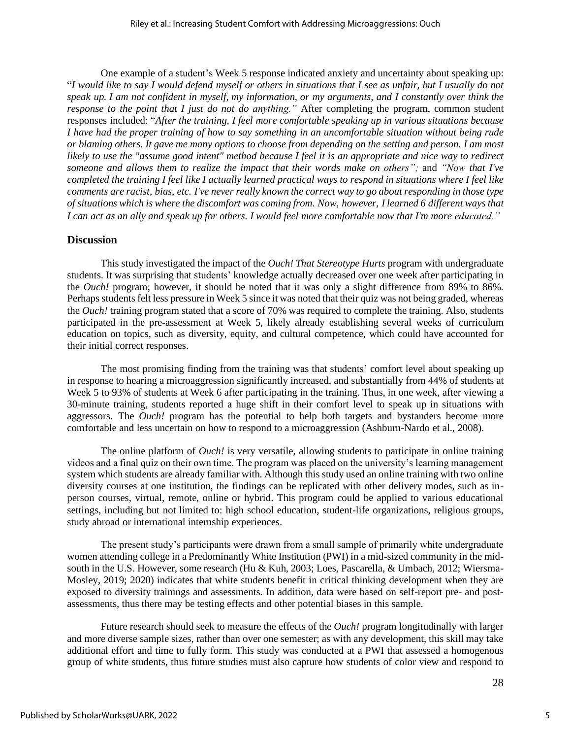One example of a student's Week 5 response indicated anxiety and uncertainty about speaking up: "I would like to say I would defend myself or others in situations that I see as unfair, but I usually do not speak up. I am not confident in myself, my information, or my arguments, and I constantly over think the *response to the point that I just do not do anything."* After completing the program, common student responses included: "*After the training, I feel more comfortable speaking up in various situations because* I have had the proper training of how to say something in an uncomfortable situation without being rude or blaming others. It gave me many options to choose from depending on the setting and person. I am most likely to use the "assume good intent" method because I feel it is an appropriate and nice way to redirect *someone and allows them to realize the impact that their words make on others";* and *"Now that I've* completed the training I feel like I actually learned practical ways to respond in situations where I feel like comments are racist, bias, etc. I've never really known the correct way to go about responding in those type of situations which is where the discomfort was coming from. Now, however, I learned 6 different ways that I can act as an ally and speak up for others. I would feel more comfortable now that I'm more educated."

#### **Discussion**

This study investigated the impact of the *Ouch! That Stereotype Hurts* program with undergraduate students. It was surprising that students' knowledge actually decreased over one week after participating in the *Ouch!* program; however, it should be noted that it was only a slight difference from 89% to 86%. Perhaps students felt less pressure in Week 5 since it was noted that their quiz was not being graded, whereas the *Ouch!* training program stated that a score of 70% was required to complete the training. Also, students participated in the pre-assessment at Week 5, likely already establishing several weeks of curriculum education on topics, such as diversity, equity, and cultural competence, which could have accounted for their initial correct responses.

The most promising finding from the training was that students' comfort level about speaking up in response to hearing a microaggression significantly increased, and substantially from 44% of students at Week 5 to 93% of students at Week 6 after participating in the training. Thus, in one week, after viewing a 30-minute training, students reported a huge shift in their comfort level to speak up in situations with aggressors. The *Ouch!* program has the potential to help both targets and bystanders become more comfortable and less uncertain on how to respond to a microaggression (Ashburn-Nardo et al., 2008).

The online platform of *Ouch!* is very versatile, allowing students to participate in online training videos and a final quiz on their own time. The program was placed on the university's learning management system which students are already familiar with. Although this study used an online training with two online diversity courses at one institution, the findings can be replicated with other delivery modes, such as inperson courses, virtual, remote, online or hybrid. This program could be applied to various educational settings, including but not limited to: high school education, student-life organizations, religious groups, study abroad or international internship experiences.

The present study's participants were drawn from a small sample of primarily white undergraduate women attending college in a Predominantly White Institution (PWI) in a mid-sized community in the midsouth in the U.S. However, some research (Hu & Kuh, 2003; Loes, Pascarella, & Umbach, 2012; Wiersma-Mosley, 2019; 2020) indicates that white students benefit in critical thinking development when they are exposed to diversity trainings and assessments. In addition, data were based on self-report pre- and postassessments, thus there may be testing effects and other potential biases in this sample.

Future research should seek to measure the effects of the *Ouch!* program longitudinally with larger and more diverse sample sizes, rather than over one semester; as with any development, this skill may take additional effort and time to fully form. This study was conducted at a PWI that assessed a homogenous group of white students, thus future studies must also capture how students of color view and respond to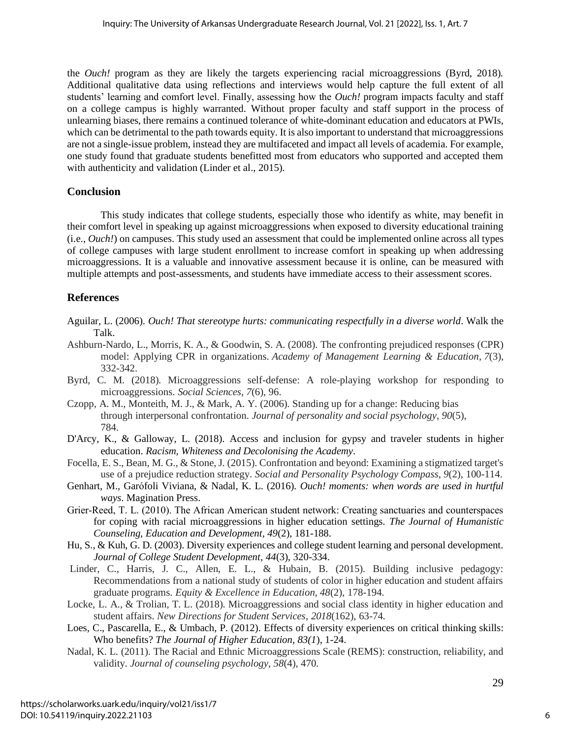the *Ouch!* program as they are likely the targets experiencing racial microaggressions (Byrd, 2018). Additional qualitative data using reflections and interviews would help capture the full extent of all students' learning and comfort level. Finally, assessing how the *Ouch!* program impacts faculty and staff on a college campus is highly warranted. Without proper faculty and staff support in the process of unlearning biases, there remains a continued tolerance of white-dominant education and educators at PWIs, which can be detrimental to the path towards equity. It is also important to understand that microaggressions are not a single-issue problem, instead they are multifaceted and impact all levels of academia. For example, one study found that graduate students benefitted most from educators who supported and accepted them with authenticity and validation (Linder et al., 2015).

### **Conclusion**

This study indicates that college students, especially those who identify as white, may benefit in their comfort level in speaking up against microaggressions when exposed to diversity educational training (i.e., *Ouch!*) on campuses. This study used an assessment that could be implemented online across all types of college campuses with large student enrollment to increase comfort in speaking up when addressing microaggressions. It is a valuable and innovative assessment because it is online, can be measured with multiple attempts and post-assessments, and students have immediate access to their assessment scores.

### **References**

- Aguilar, L. (2006). *Ouch! That stereotype hurts: communicating respectfully in a diverse world*. Walk the Talk.
- Ashburn-Nardo, L., Morris, K. A., & Goodwin, S. A. (2008). The confronting prejudiced responses (CPR) model: Applying CPR in organizations. *Academy of Management Learning & Education*, *7*(3), 332-342.
- Byrd, C. M. (2018). Microaggressions self-defense: A role-playing workshop for responding to microaggressions. *Social Sciences*, *7*(6), 96.
- Czopp, A. M., Monteith, M. J., & Mark, A. Y. (2006). Standing up for a change: Reducing bias through interpersonal confrontation. *Journal of personality and social psychology*, *90*(5), 784.
- D'Arcy, K., & Galloway, L. (2018). Access and inclusion for gypsy and traveler students in higher education. *Racism, Whiteness and Decolonising the Academy*.
- Focella, E. S., Bean, M. G., & Stone, J. (2015). Confrontation and beyond: Examining a stigmatized target's use of a prejudice reduction strategy. *Social and Personality Psychology Compass*, *9*(2), 100-114.
- Genhart, M., Garófoli Viviana, & Nadal, K. L. (2016). *Ouch! moments: when words are used in hurtful ways*. Magination Press.
- Grier‐Reed, T. L. (2010). The African American student network: Creating sanctuaries and counterspaces for coping with racial microaggressions in higher education settings. *The Journal of Humanistic Counseling, Education and Development, 49*(2), 181-188.
- Hu, S., & Kuh, G. D. (2003). Diversity experiences and college student learning and personal development. *Journal of College Student Development, 44*(3), 320-334.
- Linder, C., Harris, J. C., Allen, E. L., & Hubain, B. (2015). Building inclusive pedagogy: Recommendations from a national study of students of color in higher education and student affairs graduate programs. *Equity & Excellence in Education, 48*(2), 178-194.
- Locke, L. A., & Trolian, T. L. (2018). Microaggressions and social class identity in higher education and student affairs. *New Directions for Student Services*, *2018*(162), 63-74.
- Loes, C., Pascarella, E., & Umbach, P. (2012). Effects of diversity experiences on critical thinking skills: Who benefits? *The Journal of Higher Education, 83(1*), 1-24.
- Nadal, K. L. (2011). The Racial and Ethnic Microaggressions Scale (REMS): construction, reliability, and validity. *Journal of counseling psychology*, *58*(4), 470.